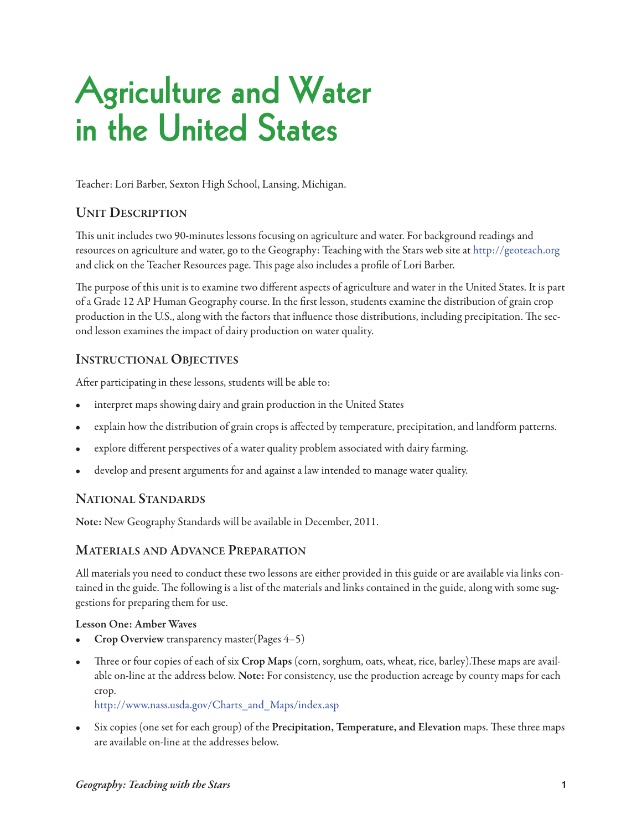# **Agriculture and Water in the United States**

Teacher: Lori Barber, Sexton High School, Lansing, Michigan.

#### **Unit Description**

This unit includes two 90-minutes lessons focusing on agriculture and water. For background readings and resources on agriculture and water, go to the Geography: Teaching with the Stars web site at <http://geoteach.org> and click on the Teacher Resources page. This page also includes a profile of Lori Barber.

The purpose of this unit is to examine two different aspects of agriculture and water in the United States. It is part of a Grade 12 AP Human Geography course. In the first lesson, students examine the distribution of grain crop production in the U.S., along with the factors that influence those distributions, including precipitation. The second lesson examines the impact of dairy production on water quality.

#### **instrUctional objectives**

After participating in these lessons, students will be able to:

- interpret maps showing dairy and grain production in the United States
- explain how the distribution of grain crops is affected by temperature, precipitation, and landform patterns.
- explore different perspectives of a water quality problem associated with dairy farming.
- develop and present arguments for and against a law intended to manage water quality.

#### **national stanDarDs**

**note:** New Geography Standards will be available in December, 2011.

#### **Materials anD aDvance preparation**

All materials you need to conduct these two lessons are either provided in this guide or are available via links contained in the guide. The following is a list of the materials and links contained in the guide, along with some suggestions for preparing them for use.

#### **Lesson One: Amber Waves**

- **Crop Overview** transparency master(Pages 4-5)
- Three or four copies of each of six Crop Maps (corn, sorghum, oats, wheat, rice, barley). These maps are available on-line at the address below. **note:** For consistency, use the production acreage by county maps for each crop.

#### [http://www.nass.usda.gov/Charts\\_and\\_Maps/index.asp](http://www.nass.usda.gov/Charts_and_Maps/index.asp)

Six copies (one set for each group) of the **Precipitation**, **Temperature**, and Elevation maps. These three maps are available on-line at the addresses below.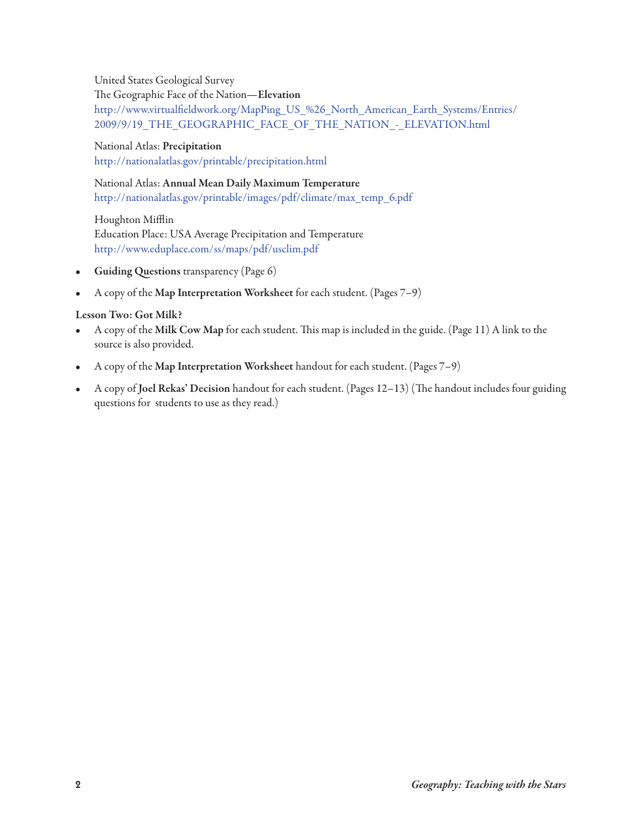United States Geological Survey e Geographic Face of the Nation—**elevation** [http://www.virtualfieldwork.org/MapPing\\_US\\_%26\\_North\\_American\\_Earth\\_Systems/Entries/](http://www.virtualfieldwork.org/MapPing_US_%26_North_American_Earth_Systems/Entries/2009/9/19_THE_GEOGRAPHIC_FACE_OF_THE_NATION_-_ELEVATION.html) 2009/9/19\_THE\_GEOGRAPHIC\_FACE\_OF\_THE\_NATION\_-\_ELEVATION.html

National Atlas: **precipitation** <http://nationalatlas.gov/printable/precipitation.html>

#### National Atlas: **annual Mean Daily Maximum temperature** [http://nationalatlas.gov/printable/images/pdf/climate/max\\_temp\\_6.pdf](http://nationalatlas.gov/printable/images/pdf/climate/max_temp_6.pdf)

Houghton Mifflin [Education Place: USA Average Precipitation and Tem](http://www.eduplace.com/ss/maps/pdf/usclim.pdf)perature http://www.eduplace.com/ss/maps/pdf/usclim.pdf

- **Guiding Questions** transparency (Page 6)
- A copy of the **Map interpretation Worksheet** for each student. (Pages 7–9)

#### Lesson Two: Got Milk?

- A copy of the Milk Cow Map for each student. This map is included in the guide. (Page 11) A link to the source is also provided.
- A copy of the **Map interpretation Worksheet** handout for each student. (Pages 7–9)
- A copy of **Joel Rekas' Decision** handout for each student. (Pages 12-13) (The handout includes four guiding questions for students to use as they read.)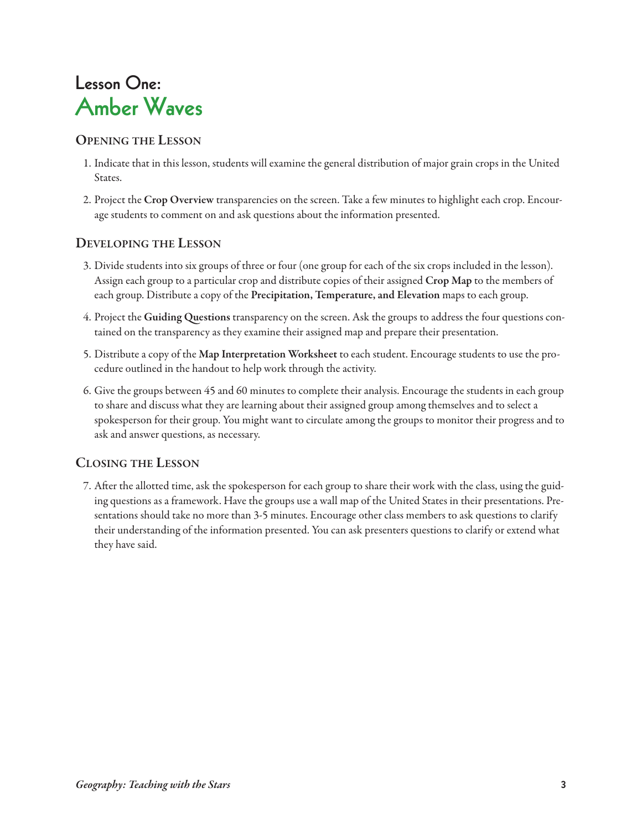### **Lesson One: Amber Waves**

#### **openinG the lesson**

- 1. Indicate that in this lesson, students will examine the general distribution of major grain crops in the United States.
- 2. Project the **crop overview** transparencies on the screen. Take a few minutes to highlight each crop. Encourage students to comment on and ask questions about the information presented.

### **DevelopinG the lesson**

- 3. Divide students into six groups of three or four (one group for each of the six crops included in the lesson). Assign each group to a particular crop and distribute copies of their assigned **crop Map** to the members of each group. Distribute a copy of the **precipitation, temperature, and elevation** maps to each group.
- 4. Project the **Guiding Questions** transparency on the screen. Ask the groups to address the four questions contained on the transparency as they examine their assigned map and prepare their presentation.
- 5. Distribute a copy of the **Map interpretation Worksheet** to each student. Encourage students to use the procedure outlined in the handout to help work through the activity.
- 6. Give the groups between 45 and 60 minutes to complete their analysis. Encourage the students in each group to share and discuss what they are learning about their assigned group among themselves and to select a spokesperson for their group. You might want to circulate among the groups to monitor their progress and to ask and answer questions, as necessary.

### **closinG the lesson**

7. After the allotted time, ask the spokesperson for each group to share their work with the class, using the guiding questions as a framework. Have the groups use a wall map of the United States in their presentations. Presentations should take no more than 3-5 minutes. Encourage other class members to ask questions to clarify their understanding of the information presented. You can ask presenters questions to clarify or extend what they have said.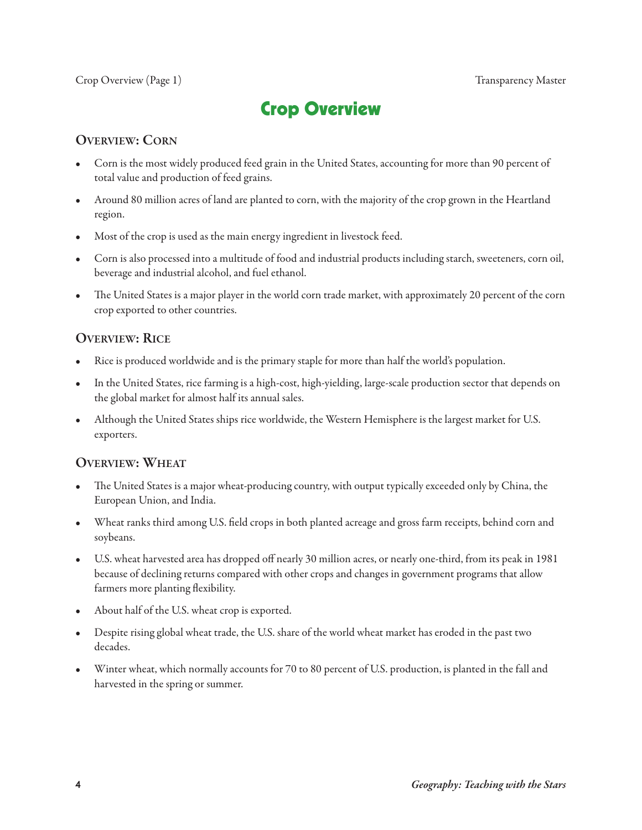### **Crop Overview**

#### **OVERVIEW: CORN**

- Corn is the most widely produced feed grain in the United States, accounting for more than 90 percent of total value and production of feed grains.
- Around 80 million acres of land are planted to corn, with the majority of the crop grown in the Heartland region.
- Most of the crop is used as the main energy ingredient in livestock feed.
- Corn is also processed into a multitude of food and industrial products including starch, sweeteners, corn oil, beverage and industrial alcohol, and fuel ethanol.
- The United States is a major player in the world corn trade market, with approximately 20 percent of the corn crop exported to other countries.

#### **OVERVIEW: RICE**

- Rice is produced worldwide and is the primary staple for more than half the world's population.
- In the United States, rice farming is a high-cost, high-yielding, large-scale production sector that depends on the global market for almost half its annual sales.
- Although the United States ships rice worldwide, the Western Hemisphere is the largest market for U.S. exporters.

#### **overvieW: Wheat**

- The United States is a major wheat-producing country, with output typically exceeded only by China, the European Union, and India.
- Wheat ranks third among U.S. field crops in both planted acreage and gross farm receipts, behind corn and soybeans.
- U.S. wheat harvested area has dropped off nearly 30 million acres, or nearly one-third, from its peak in 1981 because of declining returns compared with other crops and changes in government programs that allow farmers more planting flexibility.
- About half of the U.S. wheat crop is exported.
- Despite rising global wheat trade, the U.S. share of the world wheat market has eroded in the past two decades.
- Winter wheat, which normally accounts for 70 to 80 percent of U.S. production, is planted in the fall and harvested in the spring or summer.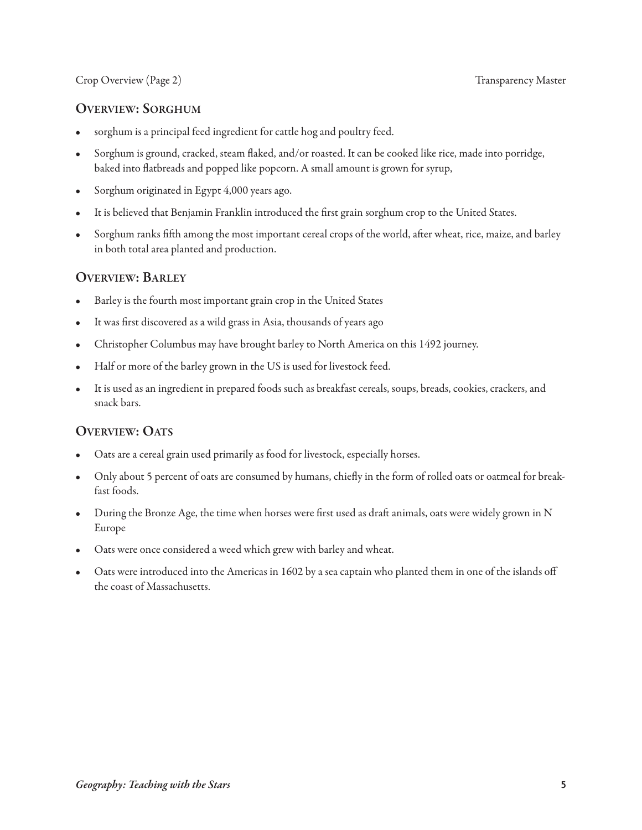#### Crop Overview (Page 2) Transparency Master

#### **overvieW: sorGhUM**

- sorghum is a principal feed ingredient for cattle hog and poultry feed.
- Sorghum is ground, cracked, steam flaked, and/or roasted. It can be cooked like rice, made into porridge, baked into flatbreads and popped like popcorn. A small amount is grown for syrup,
- Sorghum originated in Egypt 4,000 years ago.
- It is believed that Benjamin Franklin introduced the first grain sorghum crop to the United States.
- Sorghum ranks fifth among the most important cereal crops of the world, after wheat, rice, maize, and barley in both total area planted and production.

#### **overvieW: barley**

- Barley is the fourth most important grain crop in the United States
- It was first discovered as a wild grass in Asia, thousands of years ago
- Christopher Columbus may have brought barley to North America on this 1492 journey.
- Half or more of the barley grown in the US is used for livestock feed.
- It is used as an ingredient in prepared foods such as breakfast cereals, soups, breads, cookies, crackers, and snack bars.

#### **OVERVIEW: OATS**

- Oats are a cereal grain used primarily as food for livestock, especially horses.
- Only about 5 percent of oats are consumed by humans, chiefly in the form of rolled oats or oatmeal for breakfast foods.
- During the Bronze Age, the time when horses were first used as draft animals, oats were widely grown in N Europe
- Oats were once considered a weed which grew with barley and wheat.
- Oats were introduced into the Americas in 1602 by a sea captain who planted them in one of the islands off the coast of Massachusetts.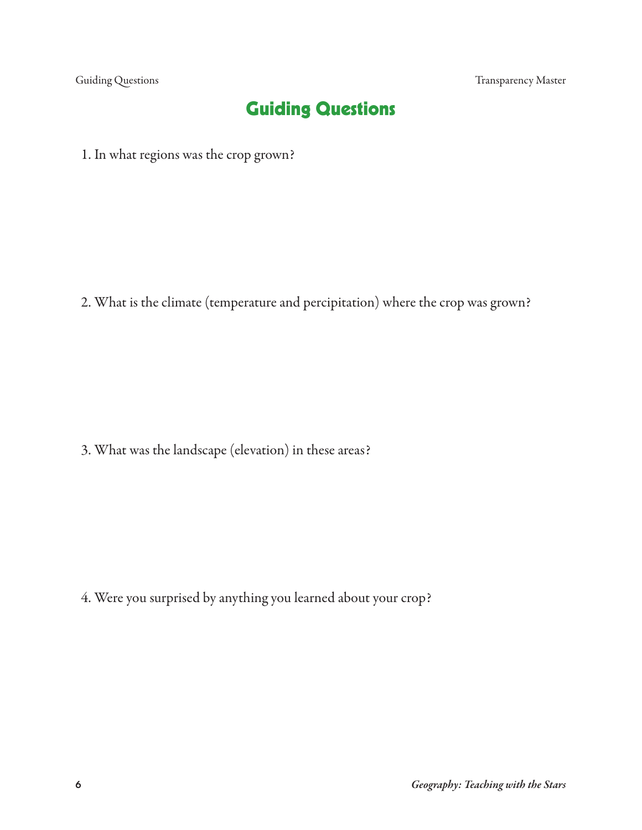Guiding Questions Transparency Master

### **Guiding Questions**

1. In what regions was the crop grown?

2. What is the climate (temperature and percipitation) where the crop was grown?

3. What was the landscape (elevation) in these areas?

4. Were you surprised by anything you learned about your crop?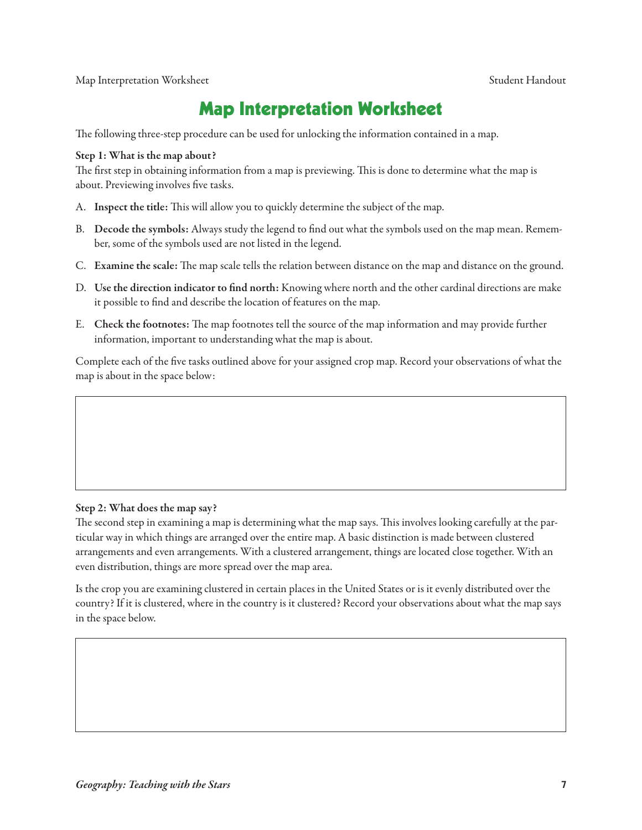Map Interpretation Worksheet Student Handout

### **Map Interpretation Worksheet**

The following three-step procedure can be used for unlocking the information contained in a map.

#### **step 1: What is the map about?**

The first step in obtaining information from a map is previewing. This is done to determine what the map is about. Previewing involves five tasks.

- A. Inspect the title: This will allow you to quickly determine the subject of the map.
- B. **Decode the symbols:** Always study the legend to find out what the symbols used on the map mean. Remember, some of the symbols used are not listed in the legend.
- C. Examine the scale: The map scale tells the relation between distance on the map and distance on the ground.
- D. **Use the direction indicator to find north:** Knowing where north and the other cardinal directions are make it possible to find and describe the location of features on the map.
- E. Check the footnotes: The map footnotes tell the source of the map information and may provide further information, important to understanding what the map is about.

Complete each of the five tasks outlined above for your assigned crop map. Record your observations of what the map is about in the space below:

#### **step 2: What does the map say?**

The second step in examining a map is determining what the map says. This involves looking carefully at the particular way in which things are arranged over the entire map. A basic distinction is made between clustered arrangements and even arrangements. With a clustered arrangement, things are located close together. With an even distribution, things are more spread over the map area.

Is the crop you are examining clustered in certain places in the United States or is it evenly distributed over the country? If it is clustered, where in the country is it clustered? Record your observations about what the map says in the space below.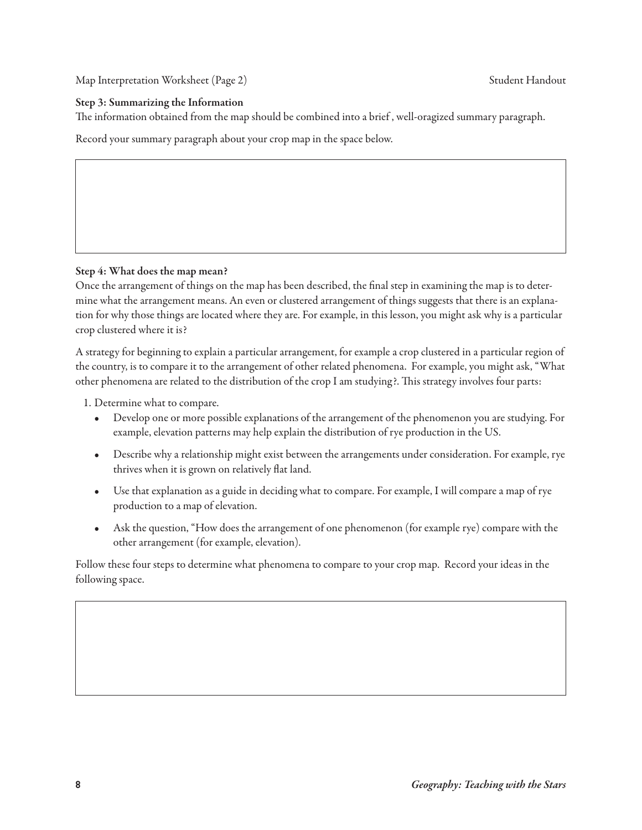Map Interpretation Worksheet (Page 2) Student Handout

#### **Step 3: Summarizing the Information**

The information obtained from the map should be combined into a brief, well-oragized summary paragraph.

Record your summary paragraph about your crop map in the space below.

#### **step 4: What does the map mean?**

Once the arrangement of things on the map has been described, the final step in examining the map is to determine what the arrangement means. An even or clustered arrangement of things suggests that there is an explanation for why those things are located where they are. For example, in this lesson, you might ask why is a particular crop clustered where it is?

A strategy for beginning to explain a particular arrangement, for example a crop clustered in a particular region of the country, is to compare it to the arrangement of other related phenomena. For example, you might ask, "What other phenomena are related to the distribution of the crop I am studying?. This strategy involves four parts:

- 1. Determine what to compare.
	- Develop one or more possible explanations of the arrangement of the phenomenon you are studying. For example, elevation patterns may help explain the distribution of rye production in the US.
	- Describe why a relationship might exist between the arrangements under consideration. For example, rye thrives when it is grown on relatively flat land.
	- Use that explanation as a guide in deciding what to compare. For example, I will compare a map of rye production to a map of elevation.
	- Ask the question, "How does the arrangement of one phenomenon (for example rye) compare with the other arrangement (for example, elevation).

Follow these four steps to determine what phenomena to compare to your crop map. Record your ideas in the following space.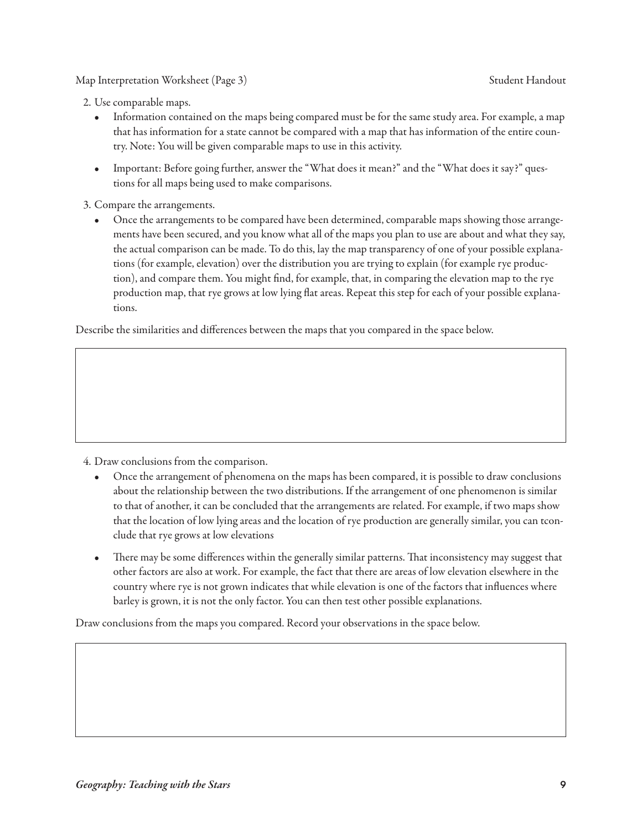Map Interpretation Worksheet (Page 3) Student Handout

2. Use comparable maps.

- Information contained on the maps being compared must be for the same study area. For example, a map that has information for a state cannot be compared with a map that has information of the entire country. Note: You will be given comparable maps to use in this activity.
- Important: Before going further, answer the "What does it mean?" and the "What does it say?" questions for all maps being used to make comparisons.

3. Compare the arrangements.

• Once the arrangements to be compared have been determined, comparable maps showing those arrangements have been secured, and you know what all of the maps you plan to use are about and what they say, the actual comparison can be made. To do this, lay the map transparency of one of your possible explanations (for example, elevation) over the distribution you are trying to explain (for example rye production), and compare them. You might find, for example, that, in comparing the elevation map to the rye production map, that rye grows at low lying flat areas. Repeat this step for each of your possible explanations.

Describe the similarities and differences between the maps that you compared in the space below.

4. Draw conclusions from the comparison.

- Once the arrangement of phenomena on the maps has been compared, it is possible to draw conclusions about the relationship between the two distributions. If the arrangement of one phenomenon is similar to that of another, it can be concluded that the arrangements are related. For example, if two maps show that the location of low lying areas and the location of rye production are generally similar, you can tconclude that rye grows at low elevations
- There may be some differences within the generally similar patterns. That inconsistency may suggest that other factors are also at work. For example, the fact that there are areas of low elevation elsewhere in the country where rye is not grown indicates that while elevation is one of the factors that influences where barley is grown, it is not the only factor. You can then test other possible explanations.

Draw conclusions from the maps you compared. Record your observations in the space below.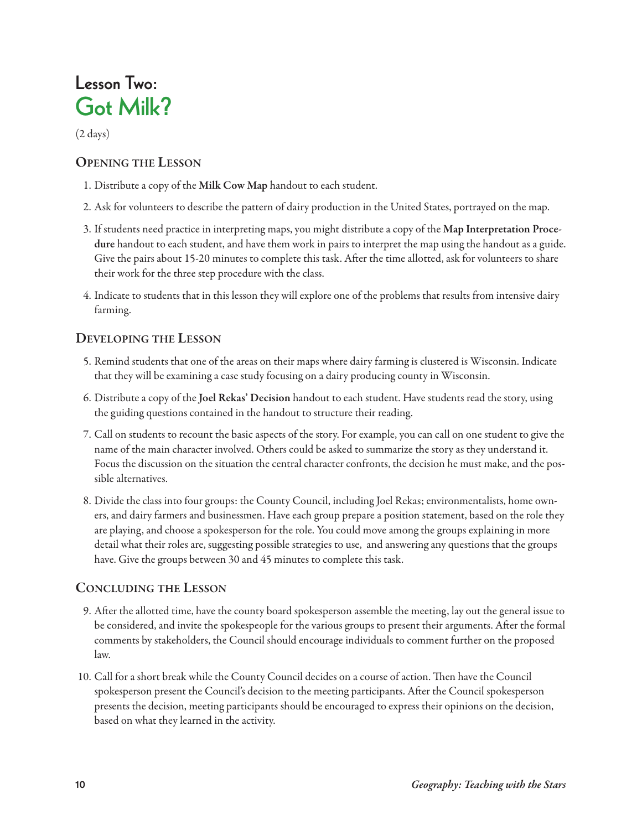## **Lesson Two: Got Milk?**

(2 days)

#### **openinG the lesson**

- 1. Distribute a copy of the **Milk cow Map** handout to each student.
- 2. Ask for volunteers to describe the pattern of dairy production in the United States, portrayed on the map.
- 3. If students need practice in interpreting maps, you might distribute a copy of the **Map interpretation procedure** handout to each student, and have them work in pairs to interpret the map using the handout as a guide. Give the pairs about 15-20 minutes to complete this task. After the time allotted, ask for volunteers to share their work for the three step procedure with the class.
- 4. Indicate to students that in this lesson they will explore one of the problems that results from intensive dairy farming.

### **DevelopinG the lesson**

- 5. Remind students that one of the areas on their maps where dairy farming is clustered is Wisconsin. Indicate that they will be examining a case study focusing on a dairy producing county in Wisconsin.
- 6. Distribute a copy of the **joel rekas' Decision** handout to each student. Have students read the story, using the guiding questions contained in the handout to structure their reading.
- 7. Call on students to recount the basic aspects of the story. For example, you can call on one student to give the name of the main character involved. Others could be asked to summarize the story as they understand it. Focus the discussion on the situation the central character confronts, the decision he must make, and the possible alternatives.
- 8. Divide the class into four groups: the County Council, including Joel Rekas; environmentalists, home owners, and dairy farmers and businessmen. Have each group prepare a position statement, based on the role they are playing, and choose a spokesperson for the role. You could move among the groups explaining in more detail what their roles are, suggesting possible strategies to use, and answering any questions that the groups have. Give the groups between 30 and 45 minutes to complete this task.

### **conclUDinG the lesson**

- 9. After the allotted time, have the county board spokesperson assemble the meeting, lay out the general issue to be considered, and invite the spokespeople for the various groups to present their arguments. After the formal comments by stakeholders, the Council should encourage individuals to comment further on the proposed law.
- 10. Call for a short break while the County Council decides on a course of action. Then have the Council spokesperson present the Council's decision to the meeting participants. After the Council spokesperson presents the decision, meeting participants should be encouraged to express their opinions on the decision, based on what they learned in the activity.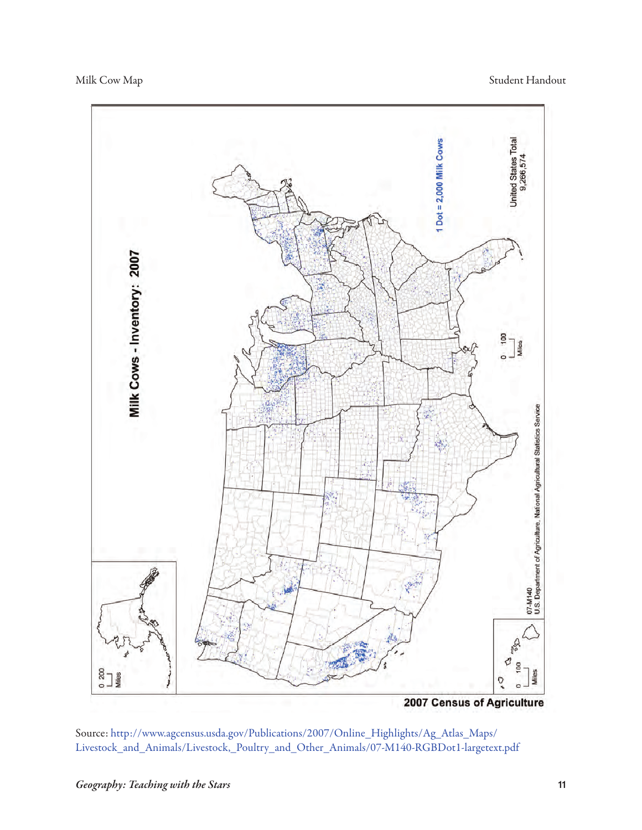

Source: [http://www.agcensus.usda.gov/Publications/2007/Online\\_Highlights/Ag\\_Atlas\\_Maps/](http://www.agcensus.usda.gov/Publications/2007/Online_Highlights/Ag_Atlas_Maps/Livestock_and_Animals/Livestock,_Poultry_and_Other_Animals/07-M140-RGBDot1-largetext.pdf) [Livestock\\_and\\_Animals/Livestock,\\_Poultry\\_and\\_Other\\_Animals/07-M140-RGBDot1-largetext.pdf](http://www.agcensus.usda.gov/Publications/2007/Online_Highlights/Ag_Atlas_Maps/Livestock_and_Animals/Livestock,_Poultry_and_Other_Animals/07-M140-RGBDot1-largetext.pdf)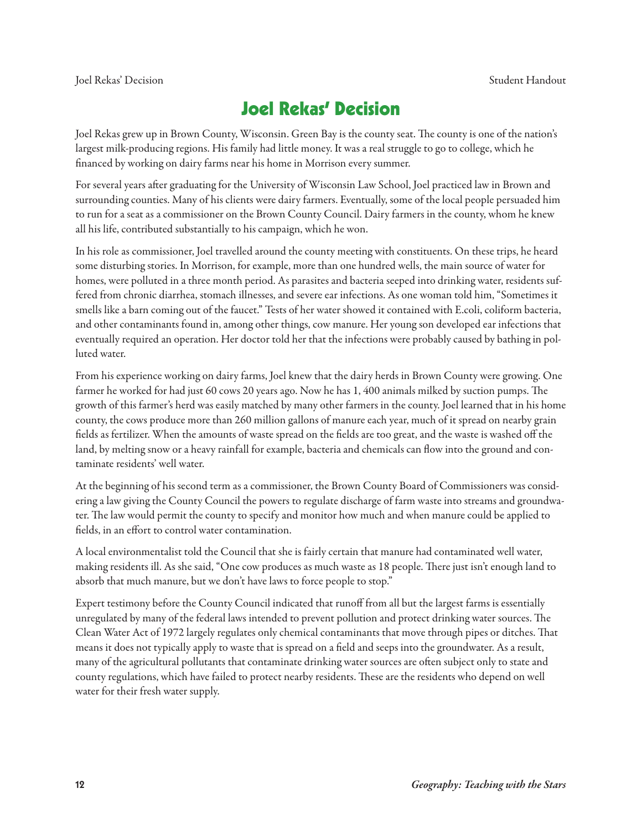### **Joel Rekas' Decision**

Joel Rekas grew up in Brown County, Wisconsin. Green Bay is the county seat. The county is one of the nation's largest milk-producing regions. His family had little money. It was a real struggle to go to college, which he financed by working on dairy farms near his home in Morrison every summer.

For several years after graduating for the University of Wisconsin Law School, Joel practiced law in Brown and surrounding counties. Many of his clients were dairy farmers. Eventually, some of the local people persuaded him to run for a seat as a commissioner on the Brown County Council. Dairy farmers in the county, whom he knew all his life, contributed substantially to his campaign, which he won.

In his role as commissioner, Joel travelled around the county meeting with constituents. On these trips, he heard some disturbing stories. In Morrison, for example, more than one hundred wells, the main source of water for homes, were polluted in a three month period. As parasites and bacteria seeped into drinking water, residents suffered from chronic diarrhea, stomach illnesses, and severe ear infections. As one woman told him, "Sometimes it smells like a barn coming out of the faucet." Tests of her water showed it contained with E.coli, coliform bacteria, and other contaminants found in, among other things, cow manure. Her young son developed ear infections that eventually required an operation. Her doctor told her that the infections were probably caused by bathing in polluted water.

From his experience working on dairy farms, Joel knew that the dairy herds in Brown County were growing. One farmer he worked for had just 60 cows 20 years ago. Now he has 1, 400 animals milked by suction pumps. The growth of this farmer's herd was easily matched by many other farmers in the county. Joel learned that in his home county, the cows produce more than 260 million gallons of manure each year, much of it spread on nearby grain fields as fertilizer. When the amounts of waste spread on the fields are too great, and the waste is washed off the land, by melting snow or a heavy rainfall for example, bacteria and chemicals can flow into the ground and contaminate residents' well water.

At the beginning of his second term as a commissioner, the Brown County Board of Commissioners was considering a law giving the County Council the powers to regulate discharge of farm waste into streams and groundwater. The law would permit the county to specify and monitor how much and when manure could be applied to fields, in an effort to control water contamination.

A local environmentalist told the Council that she is fairly certain that manure had contaminated well water, making residents ill. As she said, "One cow produces as much waste as 18 people. There just isn't enough land to absorb that much manure, but we don't have laws to force people to stop."

Expert testimony before the County Council indicated that runoff from all but the largest farms is essentially unregulated by many of the federal laws intended to prevent pollution and protect drinking water sources. The Clean Water Act of 1972 largely regulates only chemical contaminants that move through pipes or ditches. That means it does not typically apply to waste that is spread on a field and seeps into the groundwater. As a result, many of the agricultural pollutants that contaminate drinking water sources are often subject only to state and county regulations, which have failed to protect nearby residents. These are the residents who depend on well water for their fresh water supply.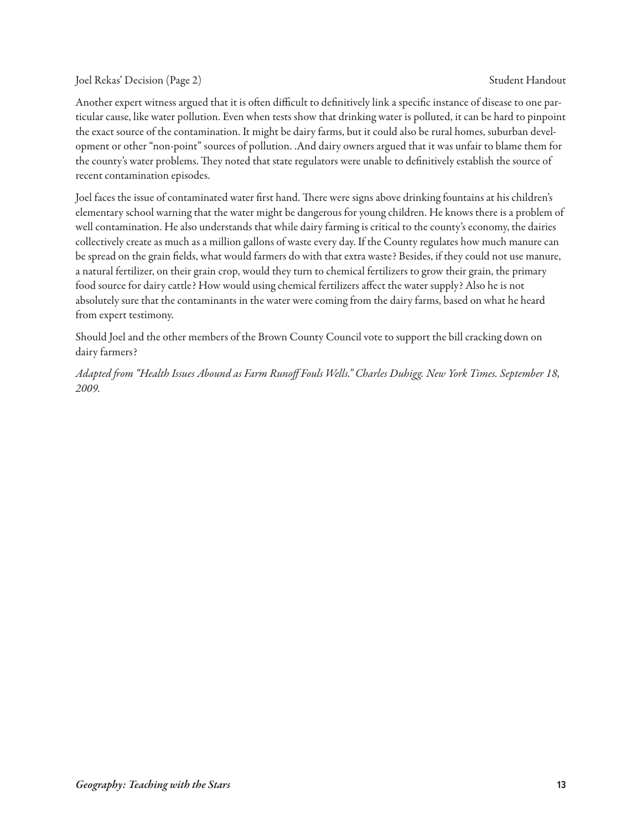#### Joel Rekas' Decision (Page 2) Student Handout (Page 2) Student Handout (Student Handout (Student Handout (Student Handout (Student Handout (Student Student Student Student Student Student Student Student Student Student St

Another expert witness argued that it is often difficult to definitively link a specific instance of disease to one particular cause, like water pollution. Even when tests show that drinking water is polluted, it can be hard to pinpoint the exact source of the contamination. It might be dairy farms, but it could also be rural homes, suburban development or other "non-point" sources of pollution. .And dairy owners argued that it was unfair to blame them for the county's water problems. They noted that state regulators were unable to definitively establish the source of recent contamination episodes.

Joel faces the issue of contaminated water first hand. There were signs above drinking fountains at his children's elementary school warning that the water might be dangerous for young children. He knows there is a problem of well contamination. He also understands that while dairy farming is critical to the county's economy, the dairies collectively create as much as a million gallons of waste every day. If the County regulates how much manure can be spread on the grain fields, what would farmers do with that extra waste? Besides, if they could not use manure, a natural fertilizer, on their grain crop, would they turn to chemical fertilizers to grow their grain, the primary food source for dairy cattle? How would using chemical fertilizers affect the water supply? Also he is not absolutely sure that the contaminants in the water were coming from the dairy farms, based on what he heard from expert testimony.

Should Joel and the other members of the Brown County Council vote to support the bill cracking down on dairy farmers?

Adapted from "Health Issues Abound as Farm Runoff Fouls Wells." Charles Duhigg. New York Times. September 18, 2009.